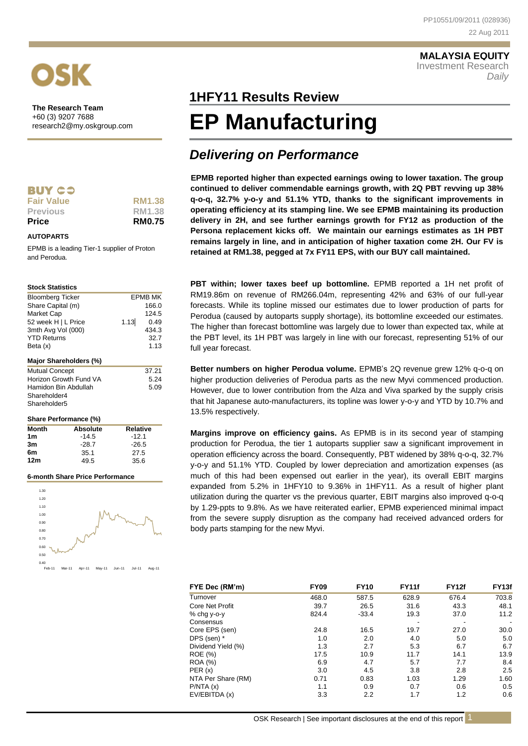# **MALAYSIA EQUITY** Investment Research *Daily*



**The Research Team**  +60 (3) 9207 7688 research2@my.oskgroup.com

| . . | ۰. | $\sim$ |
|-----|----|--------|
|     |    |        |

**Fair Value RM1.38**<br>**Previous RM1.38 Previous** 

**Price RM0.75**

# **AUTOPARTS**

EPMB is a leading Tier-1 supplier of Proton and Perodua.

# **Stock Statistics**

| <b>Bloomberg Ticker</b>      |      | <b>FPMB MK</b> |
|------------------------------|------|----------------|
| Share Capital (m)            |      | 166.0          |
| Market Cap                   |      | 124.5          |
| 52 week H   L Price          | 1.13 | 0.49           |
| 3mth Avg Vol (000)           |      | 434.3          |
| <b>YTD Returns</b>           |      | 32.7           |
| Beta (x)                     |      | 1.13           |
| Major Shareholders (%)       |      |                |
| <b>Mutual Concept</b>        |      | 37.21          |
| Horizon Growth Fund VA       |      | 5.24           |
| Hamidon Bin Abdullah         |      | 5.09           |
| Shareholder4                 |      |                |
| Shareholder <sub>5</sub>     |      |                |
| <b>Share Performance (%)</b> |      |                |

|                 | 0.101 vii vii 10.1110 vii 10.1 |         |  |  |
|-----------------|--------------------------------|---------|--|--|
| <b>Month</b>    | Relative<br>Absolute           |         |  |  |
| 1m              | $-14.5$                        | $-12.1$ |  |  |
| 3m              | $-28.7$                        | $-26.5$ |  |  |
| 6m              | 35.1                           | 27.5    |  |  |
| 12 <sub>m</sub> | 49.5                           | 35.6    |  |  |
|                 |                                |         |  |  |

## **6-month Share Price Performance**



# **1HFY11 Results Review 1HFY11**

# **EP Manufacturing**

# *Delivering on Performance*

**EPMB reported higher than expected earnings owing to lower taxation. The group continued to deliver commendable earnings growth, with 2Q PBT revving up 38% q-o-q, 32.7% y-o-y and 51.1% YTD, thanks to the significant improvements in operating efficiency at its stamping line. We see EPMB maintaining its production delivery in 2H, and see further earnings growth for FY12 as production of the Persona replacement kicks off. We maintain our earnings estimates as 1H PBT remains largely in line, and in anticipation of higher taxation come 2H. Our FV is retained at RM1.38, pegged at 7x FY11 EPS, with our BUY call maintained.**

**PBT within; lower taxes beef up bottomline.** EPMB reported a 1H net profit of RM19.86m on revenue of RM266.04m, representing 42% and 63% of our full-year forecasts. While its topline missed our estimates due to lower production of parts for Perodua (caused by autoparts supply shortage), its bottomline exceeded our estimates. The higher than forecast bottomline was largely due to lower than expected tax, while at the PBT level, its 1H PBT was largely in line with our forecast, representing 51% of our full year forecast.

**Better numbers on higher Perodua volume.** EPMB's 2Q revenue grew 12% q-o-q on higher production deliveries of Perodua parts as the new Myvi commenced production. However, due to lower contribution from the Alza and Viva sparked by the supply crisis that hit Japanese auto-manufacturers, its topline was lower y-o-y and YTD by 10.7% and 13.5% respectively.

**Margins improve on efficiency gains.** As EPMB is in its second year of stamping production for Perodua, the tier 1 autoparts supplier saw a significant improvement in operation efficiency across the board. Consequently, PBT widened by 38% q-o-q, 32.7% y-o-y and 51.1% YTD. Coupled by lower depreciation and amortization expenses (as much of this had been expensed out earlier in the year), its overall EBIT margins expanded from 5.2% in 1HFY10 to 9.36% in 1HFY11. As a result of higher plant utilization during the quarter vs the previous quarter, EBIT margins also improved q-o-q by 1.29-ppts to 9.8%. As we have reiterated earlier, EPMB experienced minimal impact from the severe supply disruption as the company had received advanced orders for body parts stamping for the new Myvi.

| FYE Dec (RM'm)     | <b>FY09</b> | <b>FY10</b> | <b>FY11f</b>             | <b>FY12f</b>             | FY <sub>13f</sub> |
|--------------------|-------------|-------------|--------------------------|--------------------------|-------------------|
| Turnover           | 468.0       | 587.5       | 628.9                    | 676.4                    | 703.8             |
| Core Net Profit    | 39.7        | 26.5        | 31.6                     | 43.3                     | 48.1              |
| % chg y-o-y        | 824.4       | $-33.4$     | 19.3                     | 37.0                     | 11.2              |
| Consensus          |             |             | $\overline{\phantom{a}}$ | $\overline{\phantom{a}}$ |                   |
| Core EPS (sen)     | 24.8        | 16.5        | 19.7                     | 27.0                     | 30.0              |
| DPS (sen) *        | 1.0         | 2.0         | 4.0                      | 5.0                      | 5.0               |
| Dividend Yield (%) | 1.3         | 2.7         | 5.3                      | 6.7                      | 6.7               |
| ROE (%)            | 17.5        | 10.9        | 11.7                     | 14.1                     | 13.9              |
| <b>ROA (%)</b>     | 6.9         | 4.7         | 5.7                      | 7.7                      | 8.4               |
| PER(x)             | 3.0         | 4.5         | 3.8                      | 2.8                      | 2.5               |
| NTA Per Share (RM) | 0.71        | 0.83        | 1.03                     | 1.29                     | 1.60              |
| P/NTA(x)           | 1.1         | 0.9         | 0.7                      | 0.6                      | 0.5               |
| EV/EBITDA (x)      | 3.3         | 2.2         | 1.7                      | 1.2                      | 0.6               |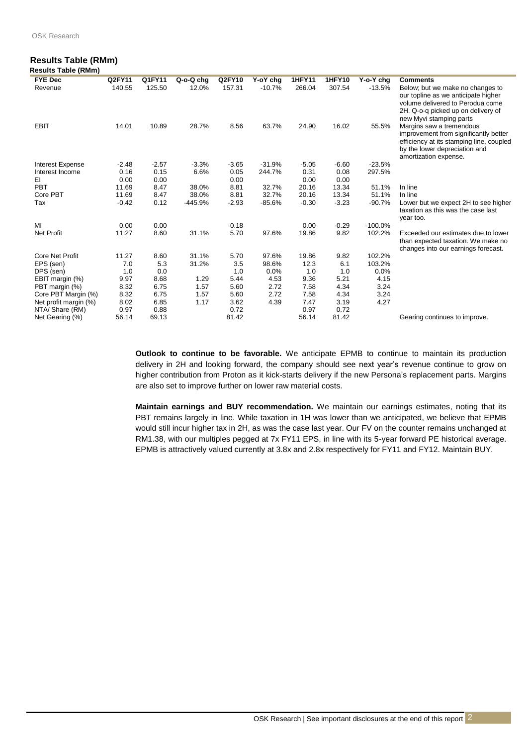# **Results Table (RMm) Results Table (RMm)**

| <b>FYE Dec</b>          | Q2FY11  | Q1FY11  | Q-o-Q chg | Q2FY10  | Y-oY chg | <b>1HFY11</b> | <b>1HFY10</b> | Y-o-Y chg | <b>Comments</b>                                                                                                                                                              |
|-------------------------|---------|---------|-----------|---------|----------|---------------|---------------|-----------|------------------------------------------------------------------------------------------------------------------------------------------------------------------------------|
| Revenue                 | 140.55  | 125.50  | 12.0%     | 157.31  | $-10.7%$ | 266.04        | 307.54        | $-13.5%$  | Below; but we make no changes to<br>our topline as we anticipate higher<br>volume delivered to Perodua come<br>2H. Q-o-q picked up on delivery of<br>new Myvi stamping parts |
| <b>EBIT</b>             | 14.01   | 10.89   | 28.7%     | 8.56    | 63.7%    | 24.90         | 16.02         | 55.5%     | Margins saw a tremendous<br>improvement from significantly better<br>efficiency at its stamping line, coupled<br>by the lower depreciation and<br>amortization expense.      |
| <b>Interest Expense</b> | $-2.48$ | $-2.57$ | $-3.3%$   | $-3.65$ | $-31.9%$ | $-5.05$       | $-6.60$       | $-23.5%$  |                                                                                                                                                                              |
| Interest Income         | 0.16    | 0.15    | 6.6%      | 0.05    | 244.7%   | 0.31          | 0.08          | 297.5%    |                                                                                                                                                                              |
| EI                      | 0.00    | 0.00    |           | 0.00    |          | 0.00          | 0.00          |           |                                                                                                                                                                              |
| PBT                     | 11.69   | 8.47    | 38.0%     | 8.81    | 32.7%    | 20.16         | 13.34         | 51.1%     | In line                                                                                                                                                                      |
| Core PBT                | 11.69   | 8.47    | 38.0%     | 8.81    | 32.7%    | 20.16         | 13.34         | 51.1%     | In line                                                                                                                                                                      |
| Tax                     | $-0.42$ | 0.12    | -445.9%   | $-2.93$ | $-85.6%$ | $-0.30$       | $-3.23$       | $-90.7%$  | Lower but we expect 2H to see higher<br>taxation as this was the case last<br>year too.                                                                                      |
| MI                      | 0.00    | 0.00    |           | $-0.18$ |          | 0.00          | $-0.29$       | $-100.0%$ |                                                                                                                                                                              |
| <b>Net Profit</b>       | 11.27   | 8.60    | 31.1%     | 5.70    | 97.6%    | 19.86         | 9.82          | 102.2%    | Exceeded our estimates due to lower<br>than expected taxation. We make no<br>changes into our earnings forecast.                                                             |
| <b>Core Net Profit</b>  | 11.27   | 8.60    | 31.1%     | 5.70    | 97.6%    | 19.86         | 9.82          | 102.2%    |                                                                                                                                                                              |
| EPS (sen)               | 7.0     | 5.3     | 31.2%     | 3.5     | 98.6%    | 12.3          | 6.1           | 103.2%    |                                                                                                                                                                              |
| DPS (sen)               | 1.0     | 0.0     |           | 1.0     | 0.0%     | 1.0           | 1.0           | 0.0%      |                                                                                                                                                                              |
| EBIT margin (%)         | 9.97    | 8.68    | 1.29      | 5.44    | 4.53     | 9.36          | 5.21          | 4.15      |                                                                                                                                                                              |
| PBT margin (%)          | 8.32    | 6.75    | 1.57      | 5.60    | 2.72     | 7.58          | 4.34          | 3.24      |                                                                                                                                                                              |
| Core PBT Margin (%)     | 8.32    | 6.75    | 1.57      | 5.60    | 2.72     | 7.58          | 4.34          | 3.24      |                                                                                                                                                                              |
| Net profit margin (%)   | 8.02    | 6.85    | 1.17      | 3.62    | 4.39     | 7.47          | 3.19          | 4.27      |                                                                                                                                                                              |
| NTA/ Share (RM)         | 0.97    | 0.88    |           | 0.72    |          | 0.97          | 0.72          |           |                                                                                                                                                                              |
| Net Gearing (%)         | 56.14   | 69.13   |           | 81.42   |          | 56.14         | 81.42         |           | Gearing continues to improve.                                                                                                                                                |

**Outlook to continue to be favorable.** We anticipate EPMB to continue to maintain its production delivery in 2H and looking forward, the company should see next year's revenue continue to grow on higher contribution from Proton as it kick-starts delivery if the new Persona's replacement parts. Margins are also set to improve further on lower raw material costs.

**Maintain earnings and BUY recommendation.** We maintain our earnings estimates, noting that its PBT remains largely in line. While taxation in 1H was lower than we anticipated, we believe that EPMB would still incur higher tax in 2H, as was the case last year. Our FV on the counter remains unchanged at RM1.38, with our multiples pegged at 7x FY11 EPS, in line with its 5-year forward PE historical average. EPMB is attractively valued currently at 3.8x and 2.8x respectively for FY11 and FY12. Maintain BUY.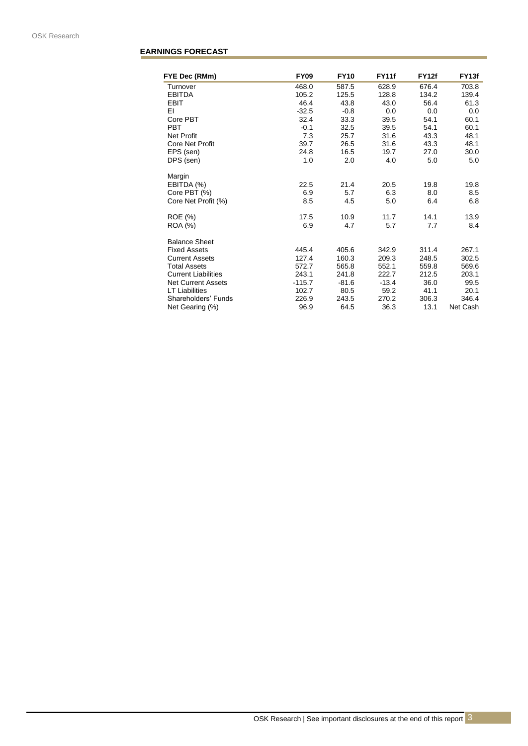# **EARNINGS FORECAST**

| FYE Dec (RMm)              | <b>FY09</b> | <b>FY10</b> | <b>FY11f</b> | <b>FY12f</b> | FY <sub>13f</sub> |
|----------------------------|-------------|-------------|--------------|--------------|-------------------|
| Turnover                   | 468.0       | 587.5       | 628.9        | 676.4        | 703.8             |
| <b>EBITDA</b>              | 105.2       | 125.5       | 128.8        | 134.2        | 139.4             |
| <b>EBIT</b>                | 46.4        | 43.8        | 43.0         | 56.4         | 61.3              |
| ΕI                         | $-32.5$     | $-0.8$      | 0.0          | 0.0          | 0.0               |
| Core PBT                   | 32.4        | 33.3        | 39.5         | 54.1         | 60.1              |
| <b>PBT</b>                 | $-0.1$      | 32.5        | 39.5         | 54.1         | 60.1              |
| Net Profit                 | 7.3         | 25.7        | 31.6         | 43.3         | 48.1              |
| <b>Core Net Profit</b>     | 39.7        | 26.5        | 31.6         | 43.3         | 48.1              |
| EPS (sen)                  | 24.8        | 16.5        | 19.7         | 27.0         | 30.0              |
| DPS (sen)                  | 1.0         | 2.0         | 4.0          | 5.0          | 5.0               |
| Margin                     |             |             |              |              |                   |
| EBITDA (%)                 | 22.5        | 21.4        | 20.5         | 19.8         | 19.8              |
| Core PBT (%)               | 6.9         | 5.7         | 6.3          | 8.0          | 8.5               |
| Core Net Profit (%)        | 8.5         | 4.5         | 5.0          | 6.4          | 6.8               |
| ROE (%)                    | 17.5        | 10.9        | 11.7         | 14.1         | 13.9              |
| ROA (%)                    | 6.9         | 4.7         | 5.7          | 7.7          | 8.4               |
| <b>Balance Sheet</b>       |             |             |              |              |                   |
| <b>Fixed Assets</b>        | 445.4       | 405.6       | 342.9        | 311.4        | 267.1             |
| <b>Current Assets</b>      | 127.4       | 160.3       | 209.3        | 248.5        | 302.5             |
| <b>Total Assets</b>        | 572.7       | 565.8       | 552.1        | 559.8        | 569.6             |
| <b>Current Liabilities</b> | 243.1       | 241.8       | 222.7        | 212.5        | 203.1             |
| <b>Net Current Assets</b>  | $-115.7$    | $-81.6$     | $-13.4$      | 36.0         | 99.5              |
| <b>LT Liabilities</b>      | 102.7       | 80.5        | 59.2         | 41.1         | 20.1              |
| Shareholders' Funds        | 226.9       | 243.5       | 270.2        | 306.3        | 346.4             |
| Net Gearing (%)            | 96.9        | 64.5        | 36.3         | 13.1         | Net Cash          |
|                            |             |             |              |              |                   |